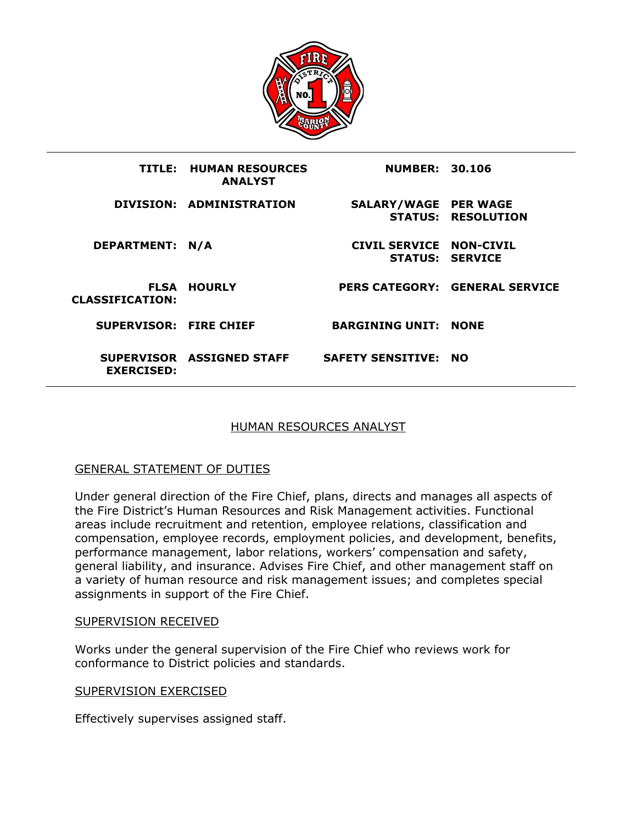

|                        | <b>TITLE: HUMAN RESOURCES</b><br><b>ANALYST</b> | <b>NUMBER: 30.106</b>       |                                       |
|------------------------|-------------------------------------------------|-----------------------------|---------------------------------------|
|                        | DIVISION: ADMINISTRATION                        | <b>SALARY/WAGE PER WAGE</b> | <b>STATUS: RESOLUTION</b>             |
| DEPARTMENT: N/A        |                                                 | CIVIL SERVICE NON-CIVIL     | <b>STATUS: SERVICE</b>                |
| <b>CLASSIFICATION:</b> | <b>FLSA HOURLY</b>                              |                             | <b>PERS CATEGORY: GENERAL SERVICE</b> |
| SUPERVISOR: FIRE CHIEF |                                                 | <b>BARGINING UNIT: NONE</b> |                                       |
| <b>EXERCISED:</b>      | SUPERVISOR ASSIGNED STAFF                       | <b>SAFETY SENSITIVE: NO</b> |                                       |

# HUMAN RESOURCES ANALYST

## GENERAL STATEMENT OF DUTIES

Under general direction of the Fire Chief, plans, directs and manages all aspects of the Fire District's Human Resources and Risk Management activities. Functional areas include recruitment and retention, employee relations, classification and compensation, employee records, employment policies, and development, benefits, performance management, labor relations, workers' compensation and safety, general liability, and insurance. Advises Fire Chief, and other management staff on a variety of human resource and risk management issues; and completes special assignments in support of the Fire Chief.

#### SUPERVISION RECEIVED

Works under the general supervision of the Fire Chief who reviews work for conformance to District policies and standards.

#### SUPERVISION EXERCISED

Effectively supervises assigned staff.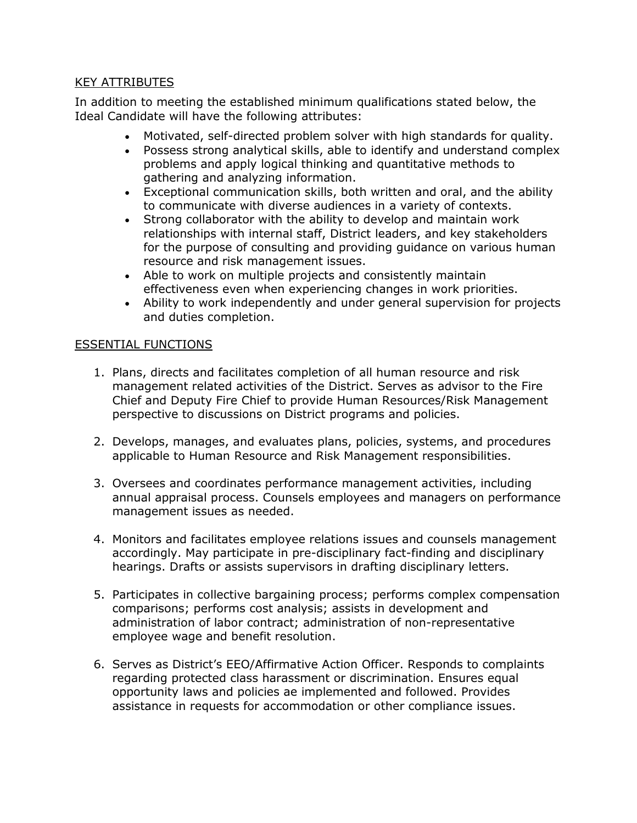# KEY ATTRIBUTES

In addition to meeting the established minimum qualifications stated below, the Ideal Candidate will have the following attributes:

- Motivated, self-directed problem solver with high standards for quality.
- Possess strong analytical skills, able to identify and understand complex problems and apply logical thinking and quantitative methods to gathering and analyzing information.
- Exceptional communication skills, both written and oral, and the ability to communicate with diverse audiences in a variety of contexts.
- Strong collaborator with the ability to develop and maintain work relationships with internal staff, District leaders, and key stakeholders for the purpose of consulting and providing guidance on various human resource and risk management issues.
- Able to work on multiple projects and consistently maintain effectiveness even when experiencing changes in work priorities.
- Ability to work independently and under general supervision for projects and duties completion.

## ESSENTIAL FUNCTIONS

- 1. Plans, directs and facilitates completion of all human resource and risk management related activities of the District. Serves as advisor to the Fire Chief and Deputy Fire Chief to provide Human Resources/Risk Management perspective to discussions on District programs and policies.
- 2. Develops, manages, and evaluates plans, policies, systems, and procedures applicable to Human Resource and Risk Management responsibilities.
- 3. Oversees and coordinates performance management activities, including annual appraisal process. Counsels employees and managers on performance management issues as needed.
- 4. Monitors and facilitates employee relations issues and counsels management accordingly. May participate in pre-disciplinary fact-finding and disciplinary hearings. Drafts or assists supervisors in drafting disciplinary letters.
- 5. Participates in collective bargaining process; performs complex compensation comparisons; performs cost analysis; assists in development and administration of labor contract; administration of non-representative employee wage and benefit resolution.
- 6. Serves as District's EEO/Affirmative Action Officer. Responds to complaints regarding protected class harassment or discrimination. Ensures equal opportunity laws and policies ae implemented and followed. Provides assistance in requests for accommodation or other compliance issues.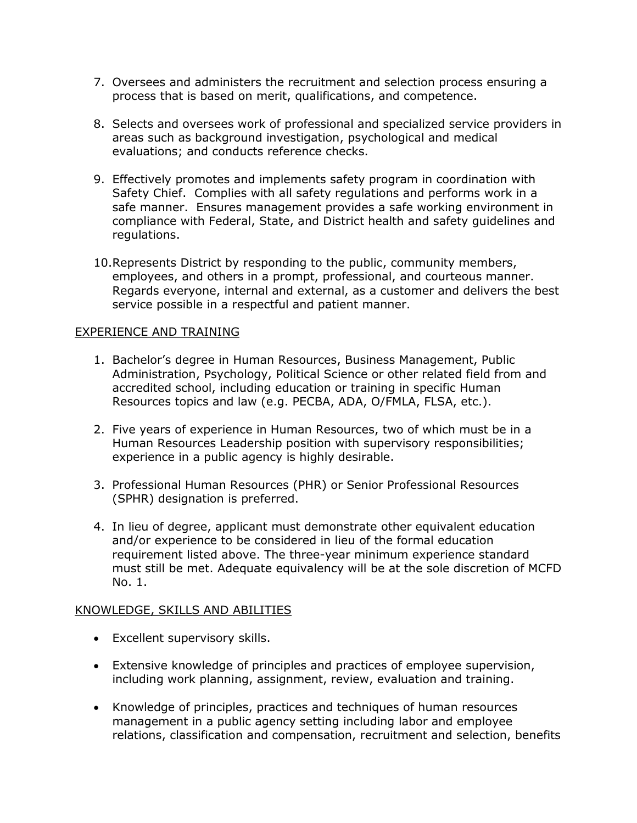- 7. Oversees and administers the recruitment and selection process ensuring a process that is based on merit, qualifications, and competence.
- 8. Selects and oversees work of professional and specialized service providers in areas such as background investigation, psychological and medical evaluations; and conducts reference checks.
- 9. Effectively promotes and implements safety program in coordination with Safety Chief. Complies with all safety regulations and performs work in a safe manner. Ensures management provides a safe working environment in compliance with Federal, State, and District health and safety guidelines and regulations.
- 10.Represents District by responding to the public, community members, employees, and others in a prompt, professional, and courteous manner. Regards everyone, internal and external, as a customer and delivers the best service possible in a respectful and patient manner.

## EXPERIENCE AND TRAINING

- 1. Bachelor's degree in Human Resources, Business Management, Public Administration, Psychology, Political Science or other related field from and accredited school, including education or training in specific Human Resources topics and law (e.g. PECBA, ADA, O/FMLA, FLSA, etc.).
- 2. Five years of experience in Human Resources, two of which must be in a Human Resources Leadership position with supervisory responsibilities; experience in a public agency is highly desirable.
- 3. Professional Human Resources (PHR) or Senior Professional Resources (SPHR) designation is preferred.
- 4. In lieu of degree, applicant must demonstrate other equivalent education and/or experience to be considered in lieu of the formal education requirement listed above. The three-year minimum experience standard must still be met. Adequate equivalency will be at the sole discretion of MCFD No. 1.

## KNOWLEDGE, SKILLS AND ABILITIES

- Excellent supervisory skills.
- Extensive knowledge of principles and practices of employee supervision, including work planning, assignment, review, evaluation and training.
- Knowledge of principles, practices and techniques of human resources management in a public agency setting including labor and employee relations, classification and compensation, recruitment and selection, benefits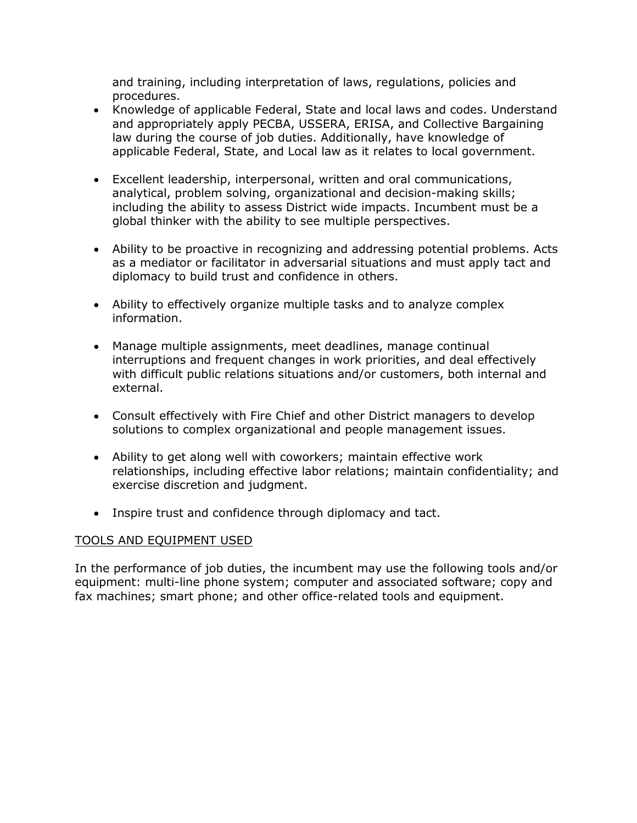and training, including interpretation of laws, regulations, policies and procedures.

- Knowledge of applicable Federal, State and local laws and codes. Understand and appropriately apply PECBA, USSERA, ERISA, and Collective Bargaining law during the course of job duties. Additionally, have knowledge of applicable Federal, State, and Local law as it relates to local government.
- Excellent leadership, interpersonal, written and oral communications, analytical, problem solving, organizational and decision-making skills; including the ability to assess District wide impacts. Incumbent must be a global thinker with the ability to see multiple perspectives.
- Ability to be proactive in recognizing and addressing potential problems. Acts as a mediator or facilitator in adversarial situations and must apply tact and diplomacy to build trust and confidence in others.
- Ability to effectively organize multiple tasks and to analyze complex information.
- Manage multiple assignments, meet deadlines, manage continual interruptions and frequent changes in work priorities, and deal effectively with difficult public relations situations and/or customers, both internal and external.
- Consult effectively with Fire Chief and other District managers to develop solutions to complex organizational and people management issues.
- Ability to get along well with coworkers; maintain effective work relationships, including effective labor relations; maintain confidentiality; and exercise discretion and judgment.
- Inspire trust and confidence through diplomacy and tact.

# TOOLS AND EQUIPMENT USED

In the performance of job duties, the incumbent may use the following tools and/or equipment: multi-line phone system; computer and associated software; copy and fax machines; smart phone; and other office-related tools and equipment.